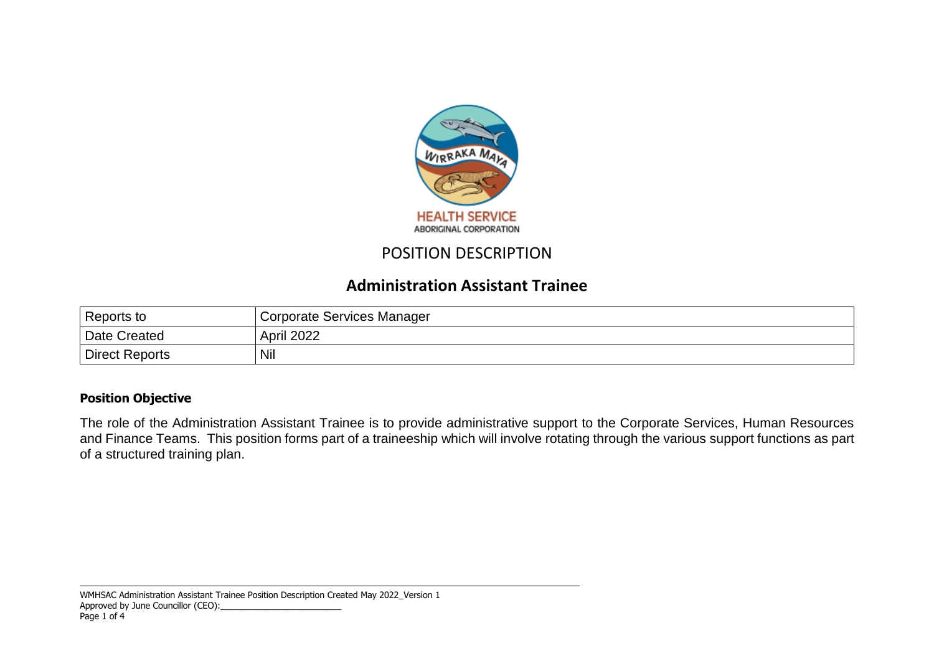

# POSITION DESCRIPTION

## **Administration Assistant Trainee**

| Reports to     | Corporate Services Manager |
|----------------|----------------------------|
| Date Created   | <b>April 2022</b>          |
| Direct Reports | Nil                        |

### **Position Objective**

The role of the Administration Assistant Trainee is to provide administrative support to the Corporate Services, Human Resources and Finance Teams. This position forms part of a traineeship which will involve rotating through the various support functions as part of a structured training plan.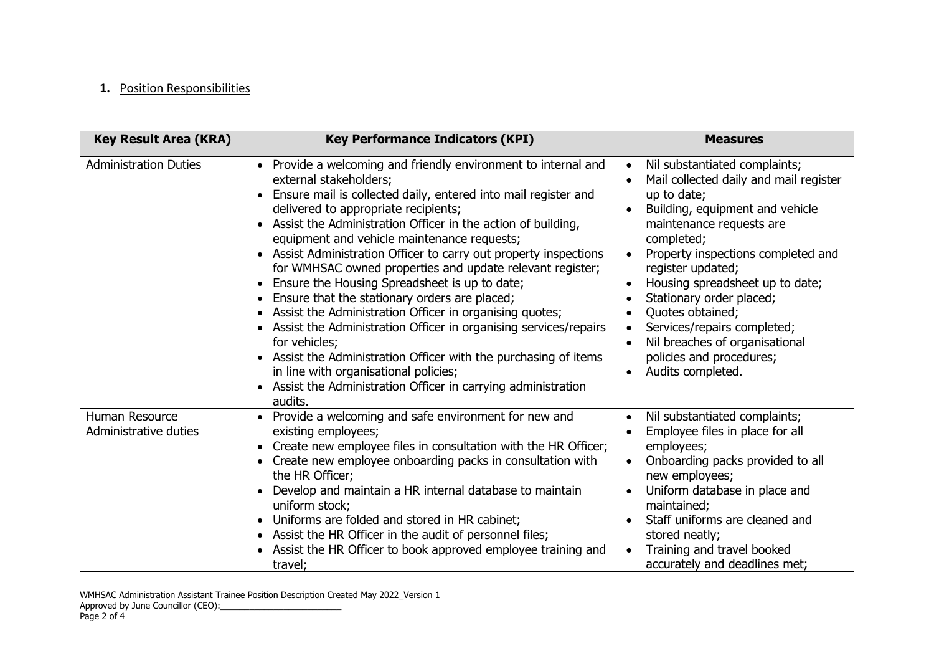#### **1.** Position Responsibilities

| <b>Key Result Area (KRA)</b>            | <b>Key Performance Indicators (KPI)</b>                                                                                                                                                                                                                                                                                                                                                                                                                                                                                                                                                                                                                                                                                                                                                                                                                                                                           | <b>Measures</b>                                                                                                                                                                                                                                                                                                                                                                                                                     |  |
|-----------------------------------------|-------------------------------------------------------------------------------------------------------------------------------------------------------------------------------------------------------------------------------------------------------------------------------------------------------------------------------------------------------------------------------------------------------------------------------------------------------------------------------------------------------------------------------------------------------------------------------------------------------------------------------------------------------------------------------------------------------------------------------------------------------------------------------------------------------------------------------------------------------------------------------------------------------------------|-------------------------------------------------------------------------------------------------------------------------------------------------------------------------------------------------------------------------------------------------------------------------------------------------------------------------------------------------------------------------------------------------------------------------------------|--|
| <b>Administration Duties</b>            | Provide a welcoming and friendly environment to internal and<br>$\bullet$<br>external stakeholders;<br>Ensure mail is collected daily, entered into mail register and<br>delivered to appropriate recipients;<br>Assist the Administration Officer in the action of building,<br>equipment and vehicle maintenance requests;<br>Assist Administration Officer to carry out property inspections<br>for WMHSAC owned properties and update relevant register;<br>Ensure the Housing Spreadsheet is up to date;<br>Ensure that the stationary orders are placed;<br>$\bullet$<br>Assist the Administration Officer in organising quotes;<br>Assist the Administration Officer in organising services/repairs<br>for vehicles;<br>Assist the Administration Officer with the purchasing of items<br>in line with organisational policies;<br>Assist the Administration Officer in carrying administration<br>audits. | Nil substantiated complaints;<br>Mail collected daily and mail register<br>up to date;<br>Building, equipment and vehicle<br>maintenance requests are<br>completed;<br>Property inspections completed and<br>register updated;<br>Housing spreadsheet up to date;<br>Stationary order placed;<br>Quotes obtained;<br>Services/repairs completed;<br>Nil breaches of organisational<br>policies and procedures;<br>Audits completed. |  |
| Human Resource<br>Administrative duties | Provide a welcoming and safe environment for new and<br>existing employees;<br>Create new employee files in consultation with the HR Officer;<br>Create new employee onboarding packs in consultation with<br>the HR Officer;<br>Develop and maintain a HR internal database to maintain<br>uniform stock;<br>Uniforms are folded and stored in HR cabinet;<br>$\bullet$<br>Assist the HR Officer in the audit of personnel files;<br>Assist the HR Officer to book approved employee training and<br>travel;                                                                                                                                                                                                                                                                                                                                                                                                     | Nil substantiated complaints;<br>$\bullet$<br>Employee files in place for all<br>employees;<br>Onboarding packs provided to all<br>new employees;<br>Uniform database in place and<br>maintained;<br>Staff uniforms are cleaned and<br>stored neatly;<br>Training and travel booked<br>accurately and deadlines met;                                                                                                                |  |

WMHSAC Administration Assistant Trainee Position Description Created May 2022\_Version 1 Approved by June Councillor (CEO):\_\_\_\_\_\_\_\_\_\_\_\_\_\_\_\_\_\_\_\_\_\_\_\_\_ Page 2 of 4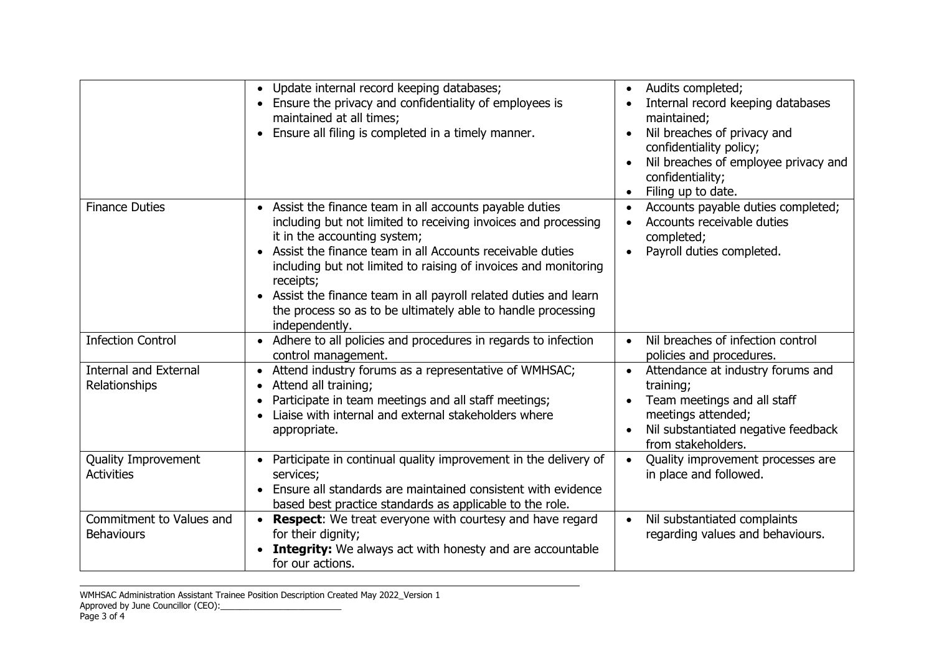|                                               | Update internal record keeping databases;<br>$\bullet$<br>Ensure the privacy and confidentiality of employees is<br>maintained at all times;<br>Ensure all filing is completed in a timely manner.<br>$\bullet$                                                                                                                                                                                                                                                                      | Audits completed;<br>Internal record keeping databases<br>maintained;<br>Nil breaches of privacy and<br>confidentiality policy;<br>Nil breaches of employee privacy and<br>confidentiality;<br>Filing up to date. |  |
|-----------------------------------------------|--------------------------------------------------------------------------------------------------------------------------------------------------------------------------------------------------------------------------------------------------------------------------------------------------------------------------------------------------------------------------------------------------------------------------------------------------------------------------------------|-------------------------------------------------------------------------------------------------------------------------------------------------------------------------------------------------------------------|--|
| <b>Finance Duties</b>                         | Assist the finance team in all accounts payable duties<br>$\bullet$<br>including but not limited to receiving invoices and processing<br>it in the accounting system;<br>Assist the finance team in all Accounts receivable duties<br>$\bullet$<br>including but not limited to raising of invoices and monitoring<br>receipts;<br>Assist the finance team in all payroll related duties and learn<br>the process so as to be ultimately able to handle processing<br>independently. | Accounts payable duties completed;<br>Accounts receivable duties<br>completed;<br>Payroll duties completed.                                                                                                       |  |
| <b>Infection Control</b>                      | Adhere to all policies and procedures in regards to infection<br>$\bullet$<br>control management.                                                                                                                                                                                                                                                                                                                                                                                    | Nil breaches of infection control<br>$\bullet$<br>policies and procedures.                                                                                                                                        |  |
| <b>Internal and External</b><br>Relationships | Attend industry forums as a representative of WMHSAC;<br>$\bullet$<br>Attend all training;<br>$\bullet$<br>Participate in team meetings and all staff meetings;<br>Liaise with internal and external stakeholders where<br>appropriate.                                                                                                                                                                                                                                              | Attendance at industry forums and<br>$\bullet$<br>training;<br>Team meetings and all staff<br>meetings attended;<br>Nil substantiated negative feedback<br>from stakeholders.                                     |  |
| Quality Improvement<br><b>Activities</b>      | Participate in continual quality improvement in the delivery of<br>services;<br>Ensure all standards are maintained consistent with evidence<br>$\bullet$<br>based best practice standards as applicable to the role.                                                                                                                                                                                                                                                                | Quality improvement processes are<br>in place and followed.                                                                                                                                                       |  |
| Commitment to Values and<br><b>Behaviours</b> | <b>Respect:</b> We treat everyone with courtesy and have regard<br>for their dignity;<br><b>Integrity:</b> We always act with honesty and are accountable<br>for our actions.                                                                                                                                                                                                                                                                                                        | Nil substantiated complaints<br>regarding values and behaviours.                                                                                                                                                  |  |

WMHSAC Administration Assistant Trainee Position Description Created May 2022\_Version 1 Approved by June Councillor (CEO):\_\_\_\_\_\_\_\_\_\_\_\_\_\_\_\_\_\_\_\_\_\_\_\_\_